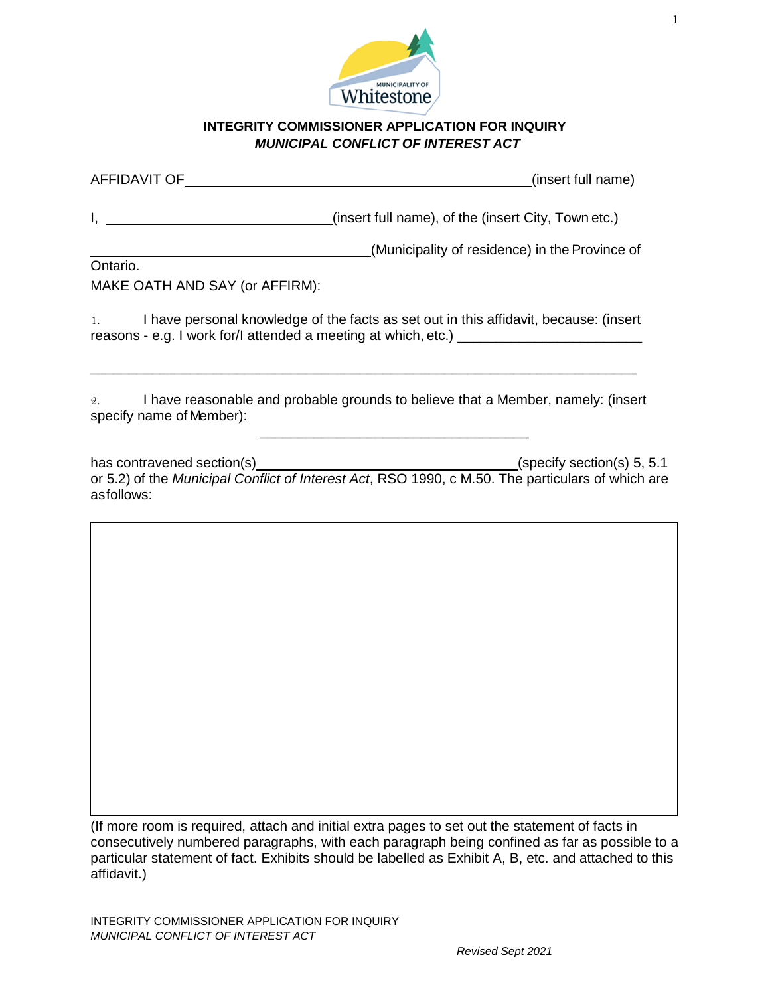

## **INTEGRITY COMMISSIONER APPLICATION FOR INQUIRY** *MUNICIPAL CONFLICT OF INTEREST ACT*

| AFFIDAVIT OF | (insert full name) |
|--------------|--------------------|
|--------------|--------------------|

I, the contract of the (insert full name), of the (insert City, Town etc.)

(Municipality of residence) in the Province of Ontario.

MAKE OATH AND SAY (or AFFIRM):

1. I have personal knowledge of the facts as set out in this affidavit, because: (insert reasons - e.g. I work for/I attended a meeting at which, etc.) \_\_\_\_\_\_\_\_\_\_\_\_\_\_\_\_\_\_

\_\_\_\_\_\_\_\_\_\_\_\_\_\_\_\_\_\_\_\_\_\_\_\_\_\_\_\_\_\_\_\_\_\_\_\_\_\_\_\_\_\_\_\_\_\_\_\_\_\_\_\_\_\_\_\_\_\_\_\_\_\_\_\_\_\_\_\_\_\_\_

2. I have reasonable and probable grounds to believe that a Member, namely: (insert specify name of Member):

 $\frac{1}{2}$  ,  $\frac{1}{2}$  ,  $\frac{1}{2}$  ,  $\frac{1}{2}$  ,  $\frac{1}{2}$  ,  $\frac{1}{2}$  ,  $\frac{1}{2}$  ,  $\frac{1}{2}$  ,  $\frac{1}{2}$  ,  $\frac{1}{2}$  ,  $\frac{1}{2}$  ,  $\frac{1}{2}$  ,  $\frac{1}{2}$  ,  $\frac{1}{2}$  ,  $\frac{1}{2}$  ,  $\frac{1}{2}$  ,  $\frac{1}{2}$  ,  $\frac{1}{2}$  ,  $\frac{1$ 

has contravened section(s) example and the section (specify section(s) 5, 5.1 or 5.2) of the *Municipal Conflict of Interest Act*, RSO 1990, c M.50. The particulars of which are asfollows:

(If more room is required, attach and initial extra pages to set out the statement of facts in consecutively numbered paragraphs, with each paragraph being confined as far as possible to a particular statement of fact. Exhibits should be labelled as Exhibit A, B, etc. and attached to this affidavit.)